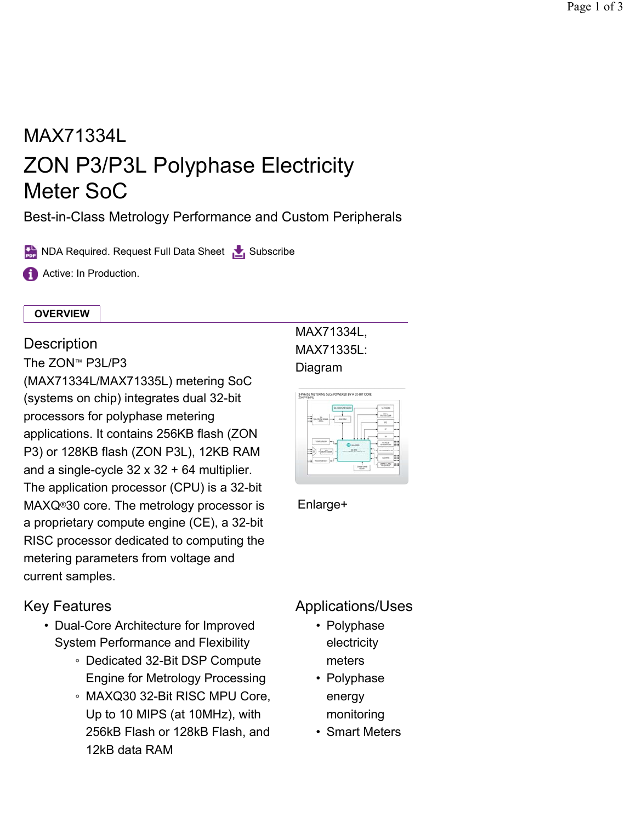# MAX71334L ZON P3/P3L Polyphase Electricity Meter SoC

Best-in-Class Metrology Performance and Custom Peripherals

NDA Required. Request Full Data Sheet Subscribe

**Active: In Production.** 

#### **OVERVIEW**

### **Description**

The ZON™  $P3L/P3$ 

(MAX71334L/MAX71335L) metering SoC (systems on chip) integrates dual 32-bit processors for polyphase metering applications. It contains 256KB flash (ZON P3) or 128KB flash (ZON P3L), 12KB RAM and a single-cycle  $32 \times 32 + 64$  multiplier. The application processor (CPU) is a 32-bit MAXQ<sup>®</sup>30 core. The metrology processor is Enlarge+ a proprietary compute engine (CE), a 32-bit RISC processor dedicated to computing the metering parameters from voltage and current samples.

# Key Features

- Dual-Core Architecture for Improved System Performance and Flexibility
	- Dedicated 32-Bit DSP Compute Engine for Metrology Processing
	- MAXQ30 32-Bit RISC MPU Core, Up to 10 MIPS (at 10MHz), with 256kB Flash or 128kB Flash, and 12kB data RAM

## MAX71334L, MAX71335L: Diagram



# Applications/Uses

- Polyphase electricity meters
- Polyphase energy monitoring
- Smart Meters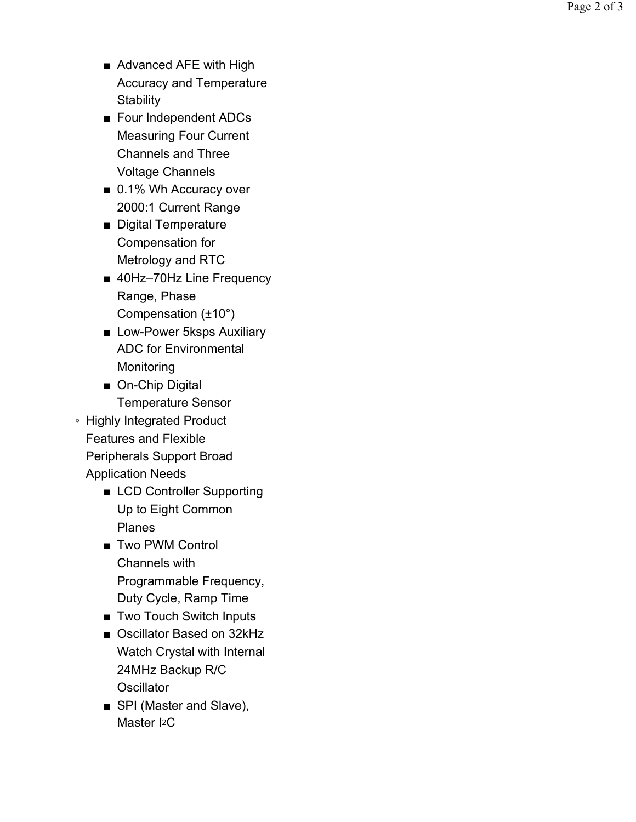- Advanced AFE with High Accuracy and Temperature **Stability**
- Four Independent ADCs Measuring Four Current Channels and Three Voltage Channels
- 0.1% Wh Accuracy over 2000:1 Current Range
- Digital Temperature Compensation for Metrology and RTC
- 40Hz-70Hz Line Frequency Range, Phase Compensation (±10°)
- Low-Power 5ksps Auxiliary ADC for Environmental **Monitoring**
- On-Chip Digital Temperature Sensor
- Highly Integrated Product Features and Flexible Peripherals Support Broad Application Needs
	- LCD Controller Supporting Up to Eight Common Planes
	- Two PWM Control Channels with Programmable Frequency, Duty Cycle, Ramp Time
	- Two Touch Switch Inputs
	- Oscillator Based on 32kHz Watch Crystal with Internal 24MHz Backup R/C **Oscillator**
	- SPI (Master and Slave), Master I<sub>2</sub>C